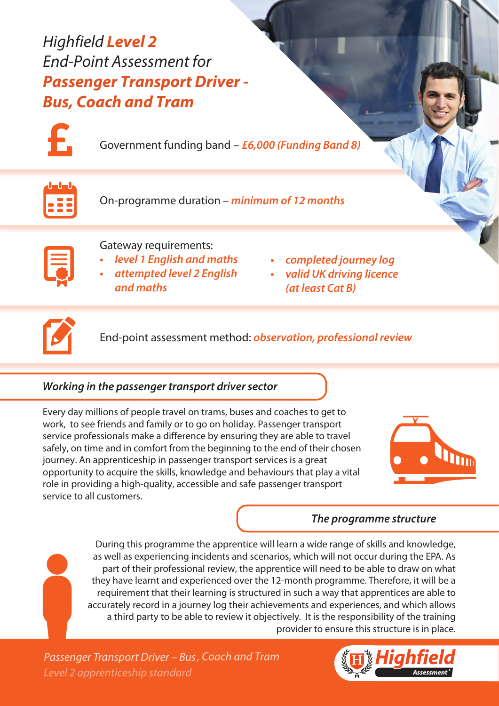Highfield **Level 2** End-Point Assessment for **Passenger Transport Driver - Bus, Coach and Tram**



Government funding band – *£6,000 (Funding Band 8)*

On-programme duration – *minimum of 12 months*

| $\mathcal{L}^{\text{max}}_{\text{max}}$ and $\mathcal{L}^{\text{max}}_{\text{max}}$ and $\mathcal{L}^{\text{max}}_{\text{max}}$ |  |
|---------------------------------------------------------------------------------------------------------------------------------|--|
|                                                                                                                                 |  |
|                                                                                                                                 |  |
|                                                                                                                                 |  |
|                                                                                                                                 |  |
|                                                                                                                                 |  |

# Gateway requirements:

- *• level 1 English and maths*
- *• attempted level 2 English and maths*
- *• completed journey log*
- *• valid UK driving licence (at least Cat B)*



End-point assessment method: *observation, professional review* 

# *Working in the passenger transport driver sector*

Every day millions of people travel on trams, buses and coaches to get to work, to see friends and family or to go on holiday. Passenger transport service professionals make a difference by ensuring they are able to travel safely, on time and in comfort from the beginning to the end of their chosen journey. An apprenticeship in passenger transport services is a great opportunity to acquire the skills, knowledge and behaviours that play a vital role in providing a high-quality, accessible and safe passenger transport service to all customers.



## *The programme structure*

During this programme the apprentice will learn a wide range of skills and knowledge, as well as experiencing incidents and scenarios, which will not occur during the EPA. As part of their professional review, the apprentice will need to be able to draw on what they have learnt and experienced over the 12-month programme. Therefore, it will be a requirement that their learning is structured in such a way that apprentices are able to accurately record in a journey log their achievements and experiences, and which allows a third party to be able to review it objectively. It is the responsibility of the training provider to ensure this structure is in place.

*Level 2 apprenticeship standard Passenger Transport Driver – Bus, Coach and* Tram